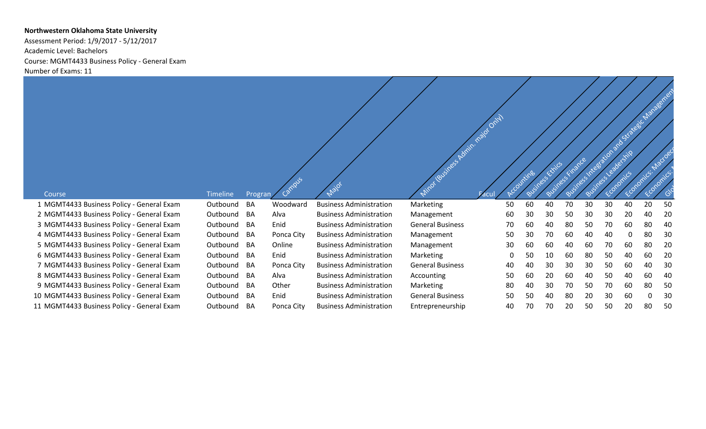## **Northwestern Oklahoma State University**

Assessment Period: 1/9/2017 - 5/12/2017 Academic Level: Bachelors Course: MGMT4433 Business Policy - General Exam Number of Exams: 11

|                                                     |                             |                      | Campus     | Não                            | Mitor (Business Admin. najor Only) |    | Accountings | Business rinarde<br>Business Exilids |    |    |    |          | Business integration and strategic that age energy |    |
|-----------------------------------------------------|-----------------------------|----------------------|------------|--------------------------------|------------------------------------|----|-------------|--------------------------------------|----|----|----|----------|----------------------------------------------------|----|
| Course<br>1 MGMT4433 Business Policy - General Exam | <b>Timeline</b><br>Outbound | Progran<br><b>BA</b> | Woodward   | <b>Business Administration</b> | <b>Marketing</b>                   | 50 | 60          | 40                                   | 70 | 30 | 30 | 40       | 20                                                 | 50 |
| 2 MGMT4433 Business Policy - General Exam           | Outbound                    | BA                   | Alva       | <b>Business Administration</b> | Management                         | 60 | 30          | 30                                   | 50 | 30 | 30 | 20       | 40                                                 | 20 |
| 3 MGMT4433 Business Policy - General Exam           | Outbound                    | BA                   | Enid       | <b>Business Administration</b> | <b>General Business</b>            | 70 | 60          | 40                                   | 80 | 50 | 70 | 60       | 80                                                 | 40 |
| 4 MGMT4433 Business Policy - General Exam           | Outbound                    | BA                   | Ponca City | <b>Business Administration</b> | Management                         | 50 | 30          | 70                                   | 60 | 40 | 40 | $\Omega$ | 80                                                 | 30 |
| 5 MGMT4433 Business Policy - General Exam           | Outbound                    | BA                   | Online     | <b>Business Administration</b> | Management                         | 30 | 60          | 60                                   | 40 | 60 | 70 | 60       | 80                                                 | 20 |
| 6 MGMT4433 Business Policy - General Exam           | Outbound                    | BA                   | Enid       | <b>Business Administration</b> | <b>Marketing</b>                   | 0  | 50          | 10                                   | 60 | 80 | 50 | 40       | 60                                                 | 20 |
| 7 MGMT4433 Business Policy - General Exam           | Outbound                    | BA                   | Ponca City | <b>Business Administration</b> | <b>General Business</b>            | 40 | 40          | 30                                   | 30 | 30 | 50 | 60       | 40                                                 | 30 |
| 8 MGMT4433 Business Policy - General Exam           | Outbound                    | BA                   | Alva       | <b>Business Administration</b> | Accounting                         | 50 | 60          | 20                                   | 60 | 40 | 50 | 40       | 60                                                 | 40 |
| 9 MGMT4433 Business Policy - General Exam           | Outbound                    | BA                   | Other      | <b>Business Administration</b> | <b>Marketing</b>                   | 80 | 40          | 30                                   | 70 | 50 | 70 | 60       | 80                                                 | 50 |
| 10 MGMT4433 Business Policy - General Exam          | Outbound                    | BA                   | Enid       | <b>Business Administration</b> | <b>General Business</b>            | 50 | 50          | 40                                   | 80 | 20 | 30 | 60       | -0                                                 | 30 |
| 11 MGMT4433 Business Policy - General Exam          | Outbound                    | BA                   | Ponca City | <b>Business Administration</b> | Entrepreneurship                   | 40 | 70          | 70                                   | 20 | 50 | 50 | 20       | 80                                                 | 50 |